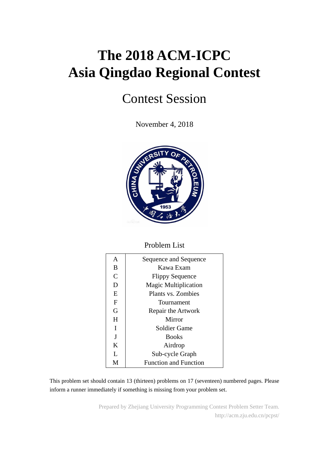# **The 2018 ACM-ICPC Asia Qingdao Regional Contest**

# Contest Session

November 4, 2018



#### Problem List

| Sequence and Sequence        |
|------------------------------|
| Kawa Exam                    |
| <b>Flippy Sequence</b>       |
| <b>Magic Multiplication</b>  |
| Plants vs. Zombies           |
| Tournament                   |
| Repair the Artwork           |
| Mirror                       |
| Soldier Game                 |
| <b>Books</b>                 |
| Airdrop                      |
| Sub-cycle Graph              |
| <b>Function and Function</b> |
|                              |

This problem set should contain 13 (thirteen) problems on 17 (seventeen) numbered pages. Please inform a runner immediately if something is missing from your problem set.

> Prepared by Zhejiang University Programming Contest Problem Setter Team. http://acm.zju.edu.cn/pcpst/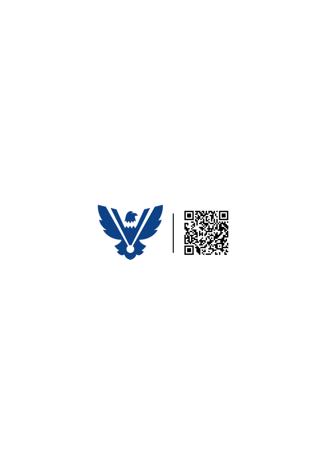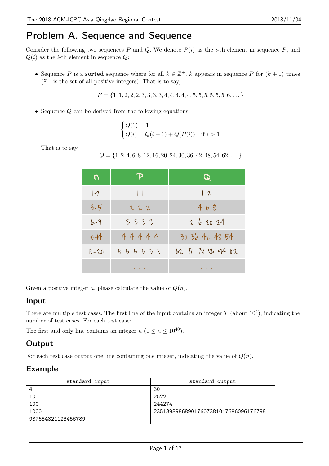# Problem A. Sequence and Sequence

Consider the following two sequences  $P$  and  $Q$ . We denote  $P(i)$  as the *i*-th element in sequence  $P$ , and  $Q(i)$  as the *i*-th element in sequence  $Q$ :

• Sequence *P* is a **sorted** sequence where for all  $k \in \mathbb{Z}^+$ , *k* appears in sequence *P* for  $(k+1)$  times  $(\mathbb{Z}^+$  is the set of all positive integers). That is to say,

$$
P = \{1, 1, 2, 2, 2, 3, 3, 3, 3, 4, 4, 4, 4, 4, 5, 5, 5, 5, 5, 5, 6, \dots\}
$$

*•* Sequence *Q* can be derived from the following equations:

$$
\begin{cases} Q(1) = 1 \\ Q(i) = Q(i-1) + Q(P(i)) & \text{if } i > 1 \end{cases}
$$

That is to say,

*Q* = *{*1*,* 2*,* 4*,* 6*,* 8*,* 12*,* 16*,* 20*,* 24*,* 30*,* 36*,* 42*,* 48*,* 54*,* 62*, . . . }*

| n         |                      | ఖ                  |
|-----------|----------------------|--------------------|
| $-2$      | $\perp$              | 12                 |
| 3-5       | 222                  | 468                |
| 6-9       | 3333                 | 12, 16, 20, 24     |
| $10 - 14$ | 44444                | 30 36 42 48 54     |
| $15 - 20$ | かかかかか                | 62 70 78 86 94 102 |
|           | <b>All Card Card</b> | <b>Contractor</b>  |

Given a positive integer *n*, please calculate the value of *Q*(*n*).

# Input

There are multiple test cases. The first line of the input contains an integer  $T$  (about  $10^4$ ), indicating the number of test cases. For each test case:

The first and only line contains an integer  $n (1 \le n \le 10^{40})$ .

# **Output**

For each test case output one line containing one integer, indicating the value of  $Q(n)$ .

| standard input     | standard output                      |
|--------------------|--------------------------------------|
| 4                  | 30                                   |
| 10                 | 2522                                 |
| 100                | 244274                               |
| 1000               | 235139898689017607381017686096176798 |
| 987654321123456789 |                                      |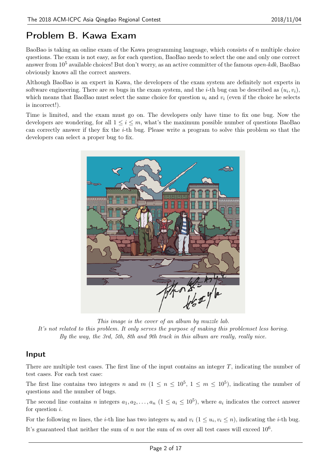# Problem B. Kawa Exam

BaoBao is taking an online exam of the Kawa programming language, which consists of *n* multiple choice questions. The exam is not easy, as for each question, BaoBao needs to select the one and only one correct answer from 10<sup>5</sup> available choices! But don't worry, as an active committer of the famous *open-kdk*, BaoBao obviously knows all the correct answers.

Although BaoBao is an expert in Kawa, the developers of the exam system are definitely not experts in software engineering. There are  $m$  bugs in the exam system, and the *i*-th bug can be described as  $(u_i, v_i)$ , which means that BaoBao must select the same choice for question  $u_i$  and  $v_i$  (even if the choice he selects is incorrect!).

Time is limited, and the exam must go on. The developers only have time to fix one bug. Now the developers are wondering, for all  $1 \leq i \leq m$ , what's the maximum possible number of questions BaoBao can correctly answer if they fix the *i*-th bug. Please write a program to solve this problem so that the developers can select a proper bug to fix.



*This image is the cover of an album by muzzle lab. It's not related to this problem. It only serves the purpose of making this problemset less boring. By the way, the 3rd, 5th, 8th and 9th track in this album are really, really nice.*

# Input

There are multiple test cases. The first line of the input contains an integer *T*, indicating the number of test cases. For each test case:

The first line contains two integers *n* and  $m$  ( $1 \leq n \leq 10^5$ ,  $1 \leq m \leq 10^5$ ), indicating the number of questions and the number of bugs.

The second line contains *n* integers  $a_1, a_2, \ldots, a_n$   $(1 \le a_i \le 10^5)$ , where  $a_i$  indicates the correct answer for question *i*.

For the following *m* lines, the *i*-th line has two integers  $u_i$  and  $v_i$  ( $1 \le u_i, v_i \le n$ ), indicating the *i*-th bug.

It's guaranteed that neither the sum of  $n$  nor the sum of  $m$  over all test cases will exceed  $10^6$ .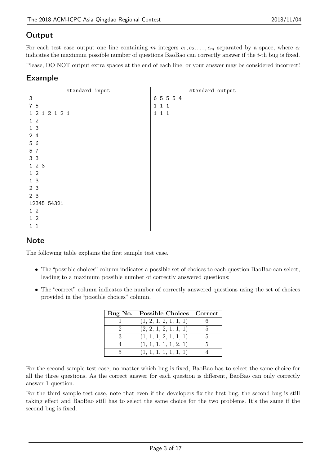# **Output**

For each test case output one line containing *m* integers  $c_1, c_2, \ldots, c_m$  separated by a space, where  $c_i$ indicates the maximum possible number of questions BaoBao can correctly answer if the *i*-th bug is fixed.

Please, DO NOT output extra spaces at the end of each line, or your answer may be considered incorrect!

#### Example

| standard input            | standard output |
|---------------------------|-----------------|
| $\ensuremath{\mathsf{3}}$ | 6 5 5 5 4       |
| 7 5                       | 111             |
| 1 2 1 2 1 2 1             | 111             |
| $1\,2$                    |                 |
| 13                        |                 |
| 2 4                       |                 |
| 5 6                       |                 |
| 5 7                       |                 |
| 3 3                       |                 |
| 123                       |                 |
| 1 <sub>2</sub>            |                 |
| 13                        |                 |
| 2 3                       |                 |
| 2 3                       |                 |
| 12345 54321               |                 |
| 1 <sub>2</sub>            |                 |
| $1\,2$                    |                 |
| $1\quad1$                 |                 |

# **Note**

The following table explains the first sample test case.

- The "possible choices" column indicates a possible set of choices to each question BaoBao can select, leading to a maximum possible number of correctly answered questions;
- The "correct" column indicates the number of correctly answered questions using the set of choices provided in the "possible choices" column.

| Bug No. | Possible Choices   Correct |  |
|---------|----------------------------|--|
|         | (1, 2, 1, 2, 1, 1, 1)      |  |
|         | (2, 2, 1, 2, 1, 1, 1)      |  |
|         | (1, 1, 1, 2, 1, 1, 1)      |  |
|         | (1, 1, 1, 1, 1, 2, 1)      |  |
|         | (1, 1, 1, 1, 1, 1, 1)      |  |

For the second sample test case, no matter which bug is fixed, BaoBao has to select the same choice for all the three questions. As the correct answer for each question is different, BaoBao can only correctly answer 1 question.

For the third sample test case, note that even if the developers fix the first bug, the second bug is still taking effect and BaoBao still has to select the same choice for the two problems. It's the same if the second bug is fixed.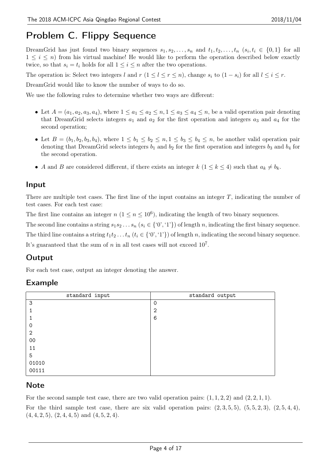# Problem C. Flippy Sequence

DreamGrid has just found two binary sequences  $s_1, s_2, \ldots, s_n$  and  $t_1, t_2, \ldots, t_n$   $(s_i, t_i \in \{0, 1\}$  for all  $1 \leq i \leq n$ ) from his virtual machine! He would like to perform the operation described below exactly twice, so that  $s_i = t_i$  holds for all  $1 \leq i \leq n$  after the two operations.

The operation is: Select two integers l and  $r$   $(1 \leq l \leq r \leq n)$ , change  $s_i$  to  $(1 - s_i)$  for all  $l \leq i \leq r$ .

DreamGrid would like to know the number of ways to do so.

We use the following rules to determine whether two ways are different:

- Let  $A = (a_1, a_2, a_3, a_4)$ , where  $1 \le a_1 \le a_2 \le n, 1 \le a_3 \le a_4 \le n$ , be a valid operation pair denoting that DreamGrid selects integers  $a_1$  and  $a_2$  for the first operation and integers  $a_3$  and  $a_4$  for the second operation;
- Let  $B = (b_1, b_2, b_3, b_4)$ , where  $1 \leq b_1 \leq b_2 \leq n, 1 \leq b_3 \leq b_4 \leq n$ , be another valid operation pair denoting that DreamGrid selects integers  $b_1$  and  $b_2$  for the first operation and integers  $b_3$  and  $b_4$  for the second operation.
- *A* and *B* are considered different, if there exists an integer  $k$  ( $1 \leq k \leq 4$ ) such that  $a_k \neq b_k$ .

### Input

There are multiple test cases. The first line of the input contains an integer *T*, indicating the number of test cases. For each test case:

The first line contains an integer  $n (1 \le n \le 10^6)$ , indicating the length of two binary sequences.

The second line contains a string  $s_1s_2 \ldots s_n$   $(s_i \in \{0, 1\})$  of length *n*, indicating the first binary sequence.

The third line contains a string  $t_1t_2 \ldots t_n$   $(t_i \in \{0, 1\})$  of length *n*, indicating the second binary sequence.

It's guaranteed that the sum of  $n$  in all test cases will not exceed  $10<sup>7</sup>$ .

# **Output**

For each test case, output an integer denoting the answer.

### Example

| standard input | standard output |
|----------------|-----------------|
| 3              | $\Omega$        |
|                | $\overline{2}$  |
|                | 6               |
| 0              |                 |
| $\overline{c}$ |                 |
| $00\,$         |                 |
| 11             |                 |
| 5              |                 |
| 01010          |                 |
| 00111          |                 |

### **Note**

For the second sample test case, there are two valid operation pairs: (1*,* 1*,* 2*,* 2) and (2*,* 2*,* 1*,* 1).

For the third sample test case, there are six valid operation pairs:  $(2,3,5,5)$ ,  $(5,5,2,3)$ ,  $(2,5,4,4)$ , (4*,* 4*,* 2*,* 5), (2*,* 4*,* 4*,* 5) and (4*,* 5*,* 2*,* 4).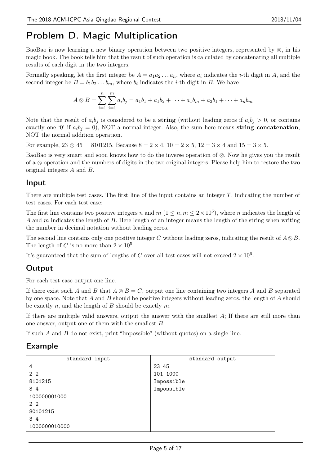# Problem D. Magic Multiplication

BaoBao is now learning a new binary operation between two positive integers, represented by *⊗*, in his magic book. The book tells him that the result of such operation is calculated by concatenating all multiple results of each digit in the two integers.

Formally speaking, let the first integer be  $A = a_1 a_2 \ldots a_n$ , where  $a_i$  indicates the *i*-th digit in *A*, and the second integer be  $B = b_1 b_2 \ldots b_m$ , where  $b_i$  indicates the *i*-th digit in *B*. We have

$$
A \otimes B = \sum_{i=1}^{n} \sum_{j=1}^{m} a_i b_j = a_1 b_1 + a_1 b_2 + \dots + a_1 b_m + a_2 b_1 + \dots + a_n b_m
$$

Note that the result of  $a_i b_j$  is considered to be a **string** (without leading zeros if  $a_i b_j > 0$ , or contains exactly one '0' if  $a_i b_j = 0$ ), NOT a normal integer. Also, the sum here means string concatenation, NOT the normal addition operation.

For example,  $23 \otimes 45 = 8101215$ . Because  $8 = 2 \times 4$ ,  $10 = 2 \times 5$ ,  $12 = 3 \times 4$  and  $15 = 3 \times 5$ .

BaoBao is very smart and soon knows how to do the inverse operation of *⊗*. Now he gives you the result of a *⊗* operation and the numbers of digits in the two original integers. Please help him to restore the two original integers *A* and *B*.

#### Input

There are multiple test cases. The first line of the input contains an integer *T*, indicating the number of test cases. For each test case:

The first line contains two positive integers *n* and  $m$  ( $1 \leq n, m \leq 2 \times 10^5$ ), where *n* indicates the length of *A* and *m* indicates the length of *B*. Here length of an integer means the length of the string when writing the number in decimal notation without leading zeros.

The second line contains only one positive integer *C* without leading zeros, indicating the result of *A⊗B*. The length of *C* is no more than  $2 \times 10^5$ .

It's guaranteed that the sum of lengths of *C* over all test cases will not exceed  $2 \times 10^6$ .

# **Output**

For each test case output one line.

If there exist such *A* and *B* that  $A \otimes B = C$ , output one line containing two integers *A* and *B* separated by one space. Note that *A* and *B* should be positive integers without leading zeros, the length of *A* should be exactly *n*, and the length of *B* should be exactly *m*.

If there are multiple valid answers, output the answer with the smallest *A*; If there are still more than one answer, output one of them with the smallest *B*.

If such *A* and *B* do not exist, print "Impossible" (without quotes) on a single line.

| standard input | standard output |
|----------------|-----------------|
| 4              | 23 45           |
| 2 <sub>2</sub> | 101 1000        |
| 8101215        | Impossible      |
| 34             | Impossible      |
| 100000001000   |                 |
| 2 <sub>2</sub> |                 |
| 80101215       |                 |
| 34             |                 |
| 1000000010000  |                 |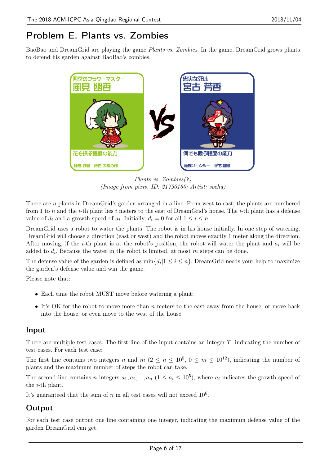# Problem E. Plants vs. Zombies

BaoBao and DreamGrid are playing the game *Plants vs. Zombies*. In the game, DreamGrid grows plants to defend his garden against BaoBao's zombies.



*Plants vs. Zombies(?) (Image from pixiv. ID: 21790160; Artist: socha)*

There are *n* plants in DreamGrid's garden arranged in a line. From west to east, the plants are numbered from 1 to *n* and the *i*-th plant lies *i* meters to the east of DreamGrid's house. The *i*-th plant has a defense value of  $d_i$  and a growth speed of  $a_i$ . Initially,  $d_i = 0$  for all  $1 \leq i \leq n$ .

DreamGrid uses a robot to water the plants. The robot is in his house initially. In one step of watering, DreamGrid will choose a direction (east or west) and the robot moves exactly 1 meter along the direction. After moving, if the *i*-th plant is at the robot's position, the robot will water the plant and *a<sup>i</sup>* will be added to *d<sup>i</sup>* . Because the water in the robot is limited, at most *m* steps can be done.

The defense value of the garden is defined as  $\min\{d_i | 1 \leq i \leq n\}$ . DreamGrid needs your help to maximize the garden's defense value and win the game.

Please note that:

- Each time the robot MUST move before watering a plant;
- It's OK for the robot to move more than *n* meters to the east away from the house, or move back into the house, or even move to the west of the house.

# Input

There are multiple test cases. The first line of the input contains an integer *T*, indicating the number of test cases. For each test case:

The first line contains two integers *n* and  $m (2 \le n \le 10^5, 0 \le m \le 10^{12})$ , indicating the number of plants and the maximum number of steps the robot can take.

The second line contains *n* integers  $a_1, a_2, ..., a_n$   $(1 \le a_i \le 10^5)$ , where  $a_i$  indicates the growth speed of the *i*-th plant.

It's guaranteed that the sum of  $n$  in all test cases will not exceed  $10^6$ .

# **Output**

For each test case output one line containing one integer, indicating the maximum defense value of the garden DreamGrid can get.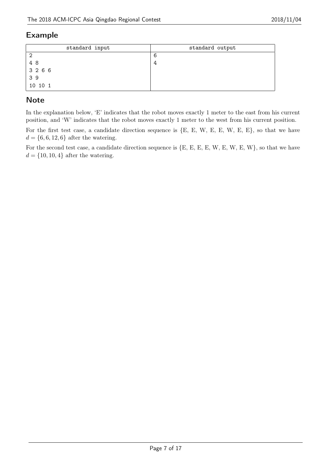### Example

| standard input | standard output |
|----------------|-----------------|
| ◠              |                 |
| 48             |                 |
| 3 2 6 6        |                 |
| 39             |                 |
| 10 10 1        |                 |

### **Note**

In the explanation below, 'E' indicates that the robot moves exactly 1 meter to the east from his current position, and 'W' indicates that the robot moves exactly 1 meter to the west from his current position.

For the first test case, a candidate direction sequence is  $\{E, E, W, E, E, W, E, E\}$ , so that we have  $d = \{6, 6, 12, 6\}$  after the watering.

For the second test case, a candidate direction sequence is  $\{E, E, E, E, W, E, W, E, W\}$ , so that we have  $d = \{10, 10, 4\}$  after the watering.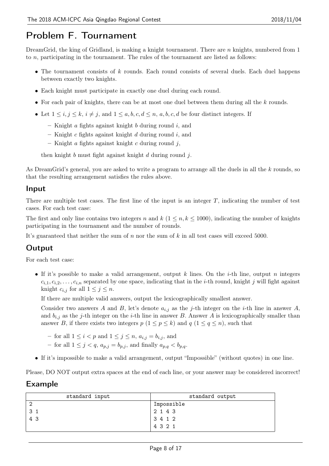# Problem F. Tournament

DreamGrid, the king of Gridland, is making a knight tournament. There are *n* knights, numbered from 1 to *n*, participating in the tournament. The rules of the tournament are listed as follows:

- The tournament consists of *k* rounds. Each round consists of several duels. Each duel happens between exactly two knights.
- *•* Each knight must participate in exactly one duel during each round.
- *•* For each pair of knights, there can be at most one duel between them during all the *k* rounds.
- Let  $1 \leq i, j \leq k, i \neq j$ , and  $1 \leq a, b, c, d \leq n, a, b, c, d$  be four distinct integers. If
	- Knight *a* fights against knight *b* during round *i*, and
	- Knight *c* fights against knight *d* during round *i*, and
	- Knight *a* fights against knight *c* during round *j*,

then knight *b* must fight against knight *d* during round *j*.

As DreamGrid's general, you are asked to write a program to arrange all the duels in all the *k* rounds, so that the resulting arrangement satisfies the rules above.

#### Input

There are multiple test cases. The first line of the input is an integer *T*, indicating the number of test cases. For each test case:

The first and only line contains two integers *n* and  $k$  ( $1 \leq n, k \leq 1000$ ), indicating the number of knights participating in the tournament and the number of rounds.

It's guaranteed that neither the sum of *n* nor the sum of *k* in all test cases will exceed 5000.

# Output

For each test case:

*•* If it's possible to make a valid arrangement, output *k* lines. On the *i*-th line, output *n* integers  $c_{i,1}, c_{i,2}, \ldots, c_{i,n}$  separated by one space, indicating that in the *i*-th round, knight *j* will fight against knight  $c_{i,j}$  for all  $1 \leq j \leq n$ .

If there are multiple valid answers, output the lexicographically smallest answer.

Consider two answers *A* and *B*, let's denote  $a_{i,j}$  as the *j*-th integer on the *i*-th line in answer *A*, and  $b_{i,j}$  as the *j*-th integer on the *i*-th line in answer *B*. Answer *A* is lexicographically smaller than answer *B*, if there exists two integers  $p$  ( $1 \leq p \leq k$ ) and  $q$  ( $1 \leq q \leq n$ ), such that

- *−* for all  $1 \le i < p$  and  $1 \le j \le n$ ,  $a_{i,j} = b_{i,j}$ , and
- for all 1 *≤ j < q*, *ap,j* = *bp,j* , and finally *ap,q < bp,q*.
- If it's impossible to make a valid arrangement, output "Impossible" (without quotes) in one line.

Please, DO NOT output extra spaces at the end of each line, or your answer may be considered incorrect!

| standard input | standard output |
|----------------|-----------------|
|                | 'Impossible     |
| 3              | 2 1 4 3         |
| 43             | 3412            |
|                | 4 3 2 1         |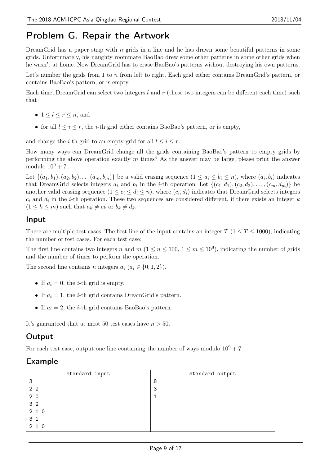# Problem G. Repair the Artwork

DreamGrid has a paper strip with *n* grids in a line and he has drawn some beautiful patterns in some grids. Unfortunately, his naughty roommate BaoBao drew some other patterns in some other grids when he wasn't at home. Now DreamGrid has to erase BaoBao's patterns without destroying his own patterns.

Let's number the grids from 1 to *n* from left to right. Each grid either contains DreamGrid's pattern, or contains BaoBao's pattern, or is empty.

Each time, DreamGrid can select two integers *l* and *r* (these two integers can be different each time) such that

- *•* 1 *≤ l ≤ r ≤ n*, and
- for all  $l \leq i \leq r$ , the *i*-th grid either contains BaoBao's pattern, or is empty,

and change the *i*-th grid to an empty grid for all  $l \leq i \leq r$ .

How many ways can DreamGrid change all the grids containing BaoBao's pattern to empty grids by performing the above operation exactly *m* times? As the answer may be large, please print the answer modulo  $10^9 + 7$ .

Let  $\{(a_1,b_1),(a_2,b_2),\ldots(a_m,b_m)\}\$ be a valid erasing sequence  $(1 \le a_i \le b_i \le n)$ , where  $(a_i,b_i)$  indicates that DreamGrid selects integers  $a_i$  and  $b_i$  in the *i*-th operation. Let  $\{(c_1, d_1), (c_2, d_2), \ldots, (c_m, d_m)\}\$ be another valid erasing sequence  $(1 \le c_i \le d_i \le n)$ , where  $(c_i, d_i)$  indicates that DreamGrid selects integers *c<sup>i</sup>* and *d<sup>i</sup>* in the *i*-th operation. These two sequences are considered different, if there exists an integer *k*  $(1 \leq k \leq m)$  such that  $a_k \neq c_k$  or  $b_k \neq d_k$ .

### Input

There are multiple test cases. The first line of the input contains an integer  $T$  ( $1 \le T \le 1000$ ), indicating the number of test cases. For each test case:

The first line contains two integers *n* and  $m$  ( $1 \le n \le 100$ ,  $1 \le m \le 10^9$ ), indicating the number of grids and the number of times to perform the operation.

The second line contains *n* integers  $a_i$  ( $a_i \in \{0, 1, 2\}$ ).

- If  $a_i = 0$ , the *i*-th grid is empty.
- If  $a_i = 1$ , the *i*-th grid contains DreamGrid's pattern.
- If  $a_i = 2$ , the *i*-th grid contains BaoBao's pattern.

It's guaranteed that at most 50 test cases have *n >* 50.

### **Output**

For each test case, output one line containing the number of ways modulo  $10^9 + 7$ .

| standard input | standard output |
|----------------|-----------------|
| 3              | 8               |
| 2 <sub>2</sub> | 3               |
| 20             |                 |
| 3 <sub>2</sub> |                 |
| 210            |                 |
| 3 1            |                 |
| 2 1 0          |                 |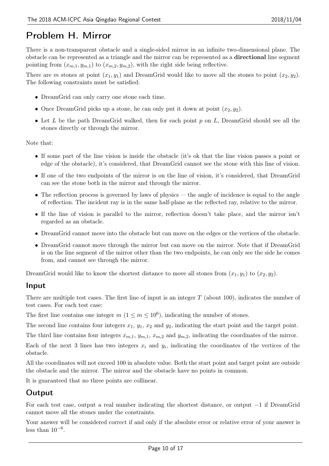# Problem H. Mirror

There is a non-transparent obstacle and a single-sided mirror in an infinite two-dimensional plane. The obstacle can be represented as a triangle and the mirror can be represented as a directional line segment pointing from  $(x_{m,1}, y_{m,1})$  to  $(x_{m,2}, y_{m,2})$ , with the right side being reflective.

There are *m* stones at point  $(x_1, y_1)$  and DreamGrid would like to move all the stones to point  $(x_2, y_2)$ . The following constraints must be satisfied:

- DreamGrid can only carry one stone each time.
- Once DreamGrid picks up a stone, he can only put it down at point  $(x_2, y_2)$ .
- *•* Let *L* be the path DreamGrid walked, then for each point *p* on *L*, DreamGrid should see all the stones directly or through the mirror.

Note that:

- If some part of the line vision is inside the obstacle (it's ok that the line vision passes a point or edge of the obstacle), it's considered, that DreamGrid cannot see the stone with this line of vision.
- If one of the two endpoints of the mirror is on the line of vision, it's considered, that DreamGrid can see the stone both in the mirror and through the mirror.
- The reflection process is governed by laws of physics the angle of incidence is equal to the angle of reflection. The incident ray is in the same half-plane as the reflected ray, relative to the mirror.
- If the line of vision is parallel to the mirror, reflection doesn't take place, and the mirror isn't regarded as an obstacle.
- DreamGrid cannot move into the obstacle but can move on the edges or the vertices of the obstacle.
- DreamGrid cannot move through the mirror but can move on the mirror. Note that if DreamGrid is on the line segment of the mirror other than the two endpoints, he can only see the side he comes from, and cannot see through the mirror.

DreamGrid would like to know the shortest distance to move all stones from  $(x_1, y_1)$  to  $(x_2, y_2)$ .

#### Input

There are multiple test cases. The first line of input is an integer *T* (about 100), indicates the number of test cases. For each test case:

The first line contains one integer  $m$  ( $1 \le m \le 10^6$ ), indicating the number of stones.

The second line contains four integers  $x_1$ ,  $y_1$ ,  $x_2$  and  $y_2$ , indicating the start point and the target point.

The third line contains four integers  $x_{m,1}$ ,  $y_{m,1}$ ,  $x_{m,2}$  and  $y_{m,2}$ , indicating the coordinates of the mirror.

Each of the next 3 lines has two integers  $x_i$  and  $y_i$ , indicating the coordinates of the vertices of the obstacle.

All the coordinates will not exceed 100 in absolute value. Both the start point and target point are outside the obstacle and the mirror. The mirror and the obstacle have no points in common.

It is guaranteed that no three points are collinear.

# **Output**

For each test case, output a real number indicating the shortest distance, or output *−*1 if DreamGrid cannot move all the stones under the constraints.

Your answer will be considered correct if and only if the absolute error or relative error of your answer is less than 10*−*<sup>6</sup> .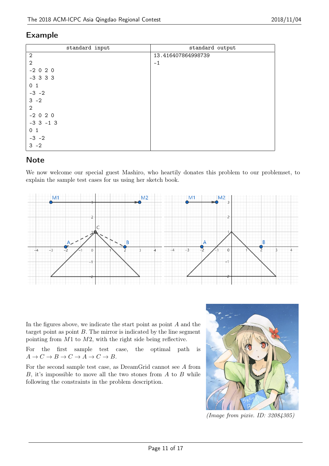### Example

| standard input | standard output    |
|----------------|--------------------|
| $\overline{2}$ | 13.416407864998739 |
| $\mathbf{2}$   | $-1$               |
| $-2020$        |                    |
| $-3$ 3 3 3     |                    |
| 0 <sub>1</sub> |                    |
| $-3 -2$        |                    |
| $3 - 2$        |                    |
| $\mathbf{2}$   |                    |
| $-2020$        |                    |
| $-3$ 3 $-1$ 3  |                    |
| 0 <sub>1</sub> |                    |
| $-3 -2$        |                    |
| $3 - 2$        |                    |

### **Note**

We now welcome our special guest Mashiro, who heartily donates this problem to our problemset, to explain the sample test cases for us using her sketch book.



In the figures above, we indicate the start point as point *A* and the target point as point  $B$ . The mirror is indicated by the line segment pointing from *M*1 to *M*2, with the right side being reflective.

For the first sample test case, the optimal path is  $A \rightarrow C \rightarrow B \rightarrow C \rightarrow A \rightarrow C \rightarrow B$ .

For the second sample test case, as DreamGrid cannot see *A* from *B*, it's impossible to move all the two stones from *A* to *B* while following the constraints in the problem description.



*(Image from pixiv. ID: 32084305)*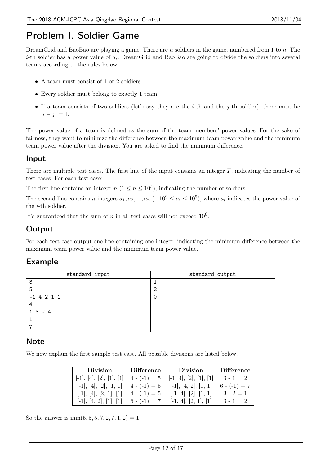# Problem I. Soldier Game

DreamGrid and BaoBao are playing a game. There are *n* soldiers in the game, numbered from 1 to *n*. The *i*-th soldier has a power value of *a<sup>i</sup>* . DreamGrid and BaoBao are going to divide the soldiers into several teams according to the rules below:

- A team must consist of 1 or 2 soldiers.
- Every soldier must belong to exactly 1 team.
- *•* If a team consists of two soldiers (let's say they are the *i*-th and the *j*-th soldier), there must be  $|i - j| = 1$ .

The power value of a team is defined as the sum of the team members' power values. For the sake of fairness, they want to minimize the difference between the maximum team power value and the minimum team power value after the division. You are asked to find the minimum difference.

### Input

There are multiple test cases. The first line of the input contains an integer *T*, indicating the number of test cases. For each test case:

The first line contains an integer  $n (1 \le n \le 10^5)$ , indicating the number of soldiers.

The second line contains *n* integers  $a_1, a_2, ..., a_n$  ( $-10^9 \le a_i \le 10^9$ ), where  $a_i$  indicates the power value of the *i*-th soldier.

It's guaranteed that the sum of  $n$  in all test cases will not exceed  $10^6$ .

### **Output**

For each test case output one line containing one integer, indicating the minimum difference between the maximum team power value and the minimum team power value.

# Example

| standard input | standard output |
|----------------|-----------------|
| 3              |                 |
| 5              | 2               |
| $-1$ 4 2 1 1   | 0               |
| 4              |                 |
| 1 3 2 4        |                 |
|                |                 |
|                |                 |

### **Note**

We now explain the first sample test case. All possible divisions are listed below.

| <b>Division</b> | Difference                    | Division           | <b>Difference</b>        |
|-----------------|-------------------------------|--------------------|--------------------------|
| 2 <br> 4 ,      | $4 - (-1) = 5$                | $[-1, 4], [2],$    | $3 - 1 = 2$              |
|                 | $4 - (-1) = 5$                | [4, 2]<br>$1 - 11$ | $6 -$<br>$) = 7$<br>$-1$ |
| $1 - 11$ .      | $4 - (-1)$<br>$=5$            | 1, 1 <br>$1 - 1$ . | $3 - 2 = 1$              |
| $1 - 11$        | $\dot{ } = 7$ .<br>$6 - (-1)$ | $1 - 1$ .          | $3 - 1 = 2$              |

So the answer is  $\min(5, 5, 5, 7, 2, 7, 1, 2) = 1$ .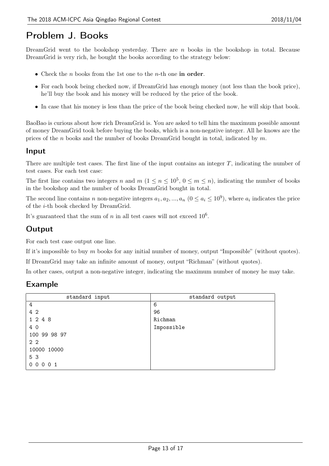# Problem J. Books

DreamGrid went to the bookshop yesterday. There are *n* books in the bookshop in total. Because DreamGrid is very rich, he bought the books according to the strategy below:

- *•* Check the *n* books from the 1st one to the *n*-th one in order.
- For each book being checked now, if DreamGrid has enough money (not less than the book price), he'll buy the book and his money will be reduced by the price of the book.
- In case that his money is less than the price of the book being checked now, he will skip that book.

BaoBao is curious about how rich DreamGrid is. You are asked to tell him the maximum possible amount of money DreamGrid took before buying the books, which is a non-negative integer. All he knows are the prices of the *n* books and the number of books DreamGrid bought in total, indicated by *m*.

### Input

There are multiple test cases. The first line of the input contains an integer *T*, indicating the number of test cases. For each test case:

The first line contains two integers *n* and  $m$  ( $1 \le n \le 10^5$ ,  $0 \le m \le n$ ), indicating the number of books in the bookshop and the number of books DreamGrid bought in total.

The second line contains *n* non-negative integers  $a_1, a_2, ..., a_n$   $(0 \le a_i \le 10^9)$ , where  $a_i$  indicates the price of the *i*-th book checked by DreamGrid.

It's guaranteed that the sum of  $n$  in all test cases will not exceed  $10^6$ .

# **Output**

For each test case output one line.

If it's impossible to buy *m* books for any initial number of money, output "Impossible" (without quotes). If DreamGrid may take an infinite amount of money, output "Richman" (without quotes).

In other cases, output a non-negative integer, indicating the maximum number of money he may take.

| standard input | standard output |  |
|----------------|-----------------|--|
| 4              | 6               |  |
| 4 2            | 96              |  |
| 1 2 4 8        | Richman         |  |
| 4 0            | Impossible      |  |
| 100 99 98 97   |                 |  |
| 2 <sub>2</sub> |                 |  |
| 10000 10000    |                 |  |
| 5 3            |                 |  |
| 00001          |                 |  |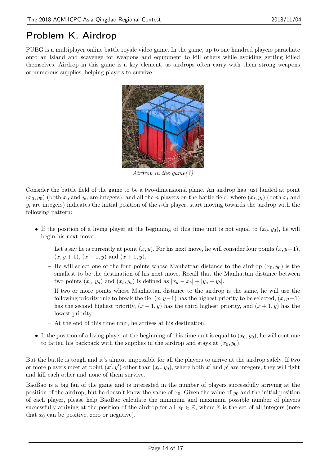# Problem K. Airdrop

PUBG is a multiplayer online battle royale video game. In the game, up to one hundred players parachute onto an island and scavenge for weapons and equipment to kill others while avoiding getting killed themselves. Airdrop in this game is a key element, as airdrops often carry with them strong weapons or numerous supplies, helping players to survive.



*Airdrop in the game(?)*

Consider the battle field of the game to be a two-dimensional plane. An airdrop has just landed at point  $(x_0, y_0)$  (both  $x_0$  and  $y_0$  are integers), and all the *n* players on the battle field, where  $(x_i, y_i)$  (both  $x_i$  and  $y_i$  are integers) indicates the initial position of the *i*-th player, start moving towards the airdrop with the following pattern:

- If the position of a living player at the beginning of this time unit is not equal to  $(x_0, y_0)$ , he will begin his next move.
	- Let's say he is currently at point (*x, y*). For his next move, he will consider four points (*x, y−*1),  $(x, y + 1), (x - 1, y)$  and  $(x + 1, y)$ .
	- He will select one of the four points whose Manhattan distance to the airdrop  $(x_0, y_0)$  is the smallest to be the destination of his next move. Recall that the Manhattan distance between two points  $(x_a, y_a)$  and  $(x_b, y_b)$  is defined as  $|x_a - x_b| + |y_a - y_b|$ .
	- If two or more points whose Manhattan distance to the airdrop is the same, he will use the following priority rule to break the tie:  $(x, y-1)$  has the highest priority to be selected,  $(x, y+1)$ has the second highest priority,  $(x-1, y)$  has the third highest priority, and  $(x+1, y)$  has the lowest priority.
	- At the end of this time unit, he arrives at his destination.
- If the position of a living player at the beginning of this time unit is equal to  $(x_0, y_0)$ , he will continue to fatten his backpack with the supplies in the airdrop and stays at  $(x_0, y_0)$ .

But the battle is tough and it's almost impossible for all the players to arrive at the airdrop safely. If two or more players meet at point  $(x', y')$  other than  $(x_0, y_0)$ , where both  $x'$  and  $y'$  are integers, they will fight and kill each other and none of them survive.

BaoBao is a big fan of the game and is interested in the number of players successfully arriving at the position of the airdrop, but he doesn't know the value of  $x_0$ . Given the value of  $y_0$  and the initial position of each player, please help BaoBao calculate the minimum and maximum possible number of players successfully arriving at the position of the airdrop for all  $x_0 \in \mathbb{Z}$ , where  $\mathbb Z$  is the set of all integers (note that  $x_0$  can be positive, zero or negative).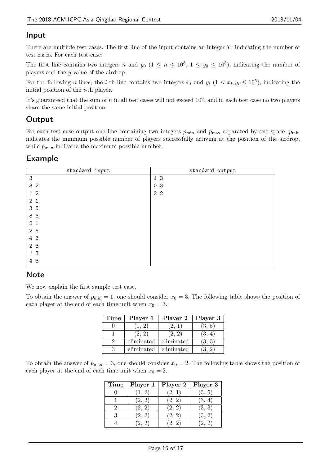### Input

There are multiple test cases. The first line of the input contains an integer *T*, indicating the number of test cases. For each test case:

The first line contains two integers *n* and  $y_0$  ( $1 \le n \le 10^5$ ,  $1 \le y_0 \le 10^5$ ), indicating the number of players and the *y* value of the airdrop.

For the following *n* lines, the *i*-th line contains two integers  $x_i$  and  $y_i$  ( $1 \le x_i, y_i \le 10^5$ ), indicating the initial position of the *i*-th player.

It's guaranteed that the sum of *n* in all test cases will not exceed  $10^6$ , and in each test case no two players share the same initial position.

# **Output**

For each test case output one line containing two integers  $p_{\min}$  and  $p_{\max}$  separated by one space.  $p_{\min}$ indicates the minimum possible number of players successfully arriving at the position of the airdrop, while  $p_{\text{max}}$  indicates the maximum possible number.

### Example

| standard input | standard output |
|----------------|-----------------|
| $\mathbf{3}$   | 1 <sub>3</sub>  |
| 3 <sub>2</sub> | 0 <sup>3</sup>  |
| 1 <sub>2</sub> | 2 <sub>2</sub>  |
| 2 <sub>1</sub> |                 |
| 3 5            |                 |
| 3 3            |                 |
| 2 <sub>1</sub> |                 |
| 2 5            |                 |
| 4 3            |                 |
| 2 3            |                 |
| 1 <sub>3</sub> |                 |
| 4 3            |                 |

# **Note**

We now explain the first sample test case.

To obtain the answer of  $p_{\text{min}} = 1$ , one should consider  $x_0 = 3$ . The following table shows the position of each player at the end of each time unit when  $x_0 = 3$ .

| Time | Player 1   | Player 2   | Player 3 |
|------|------------|------------|----------|
|      | (2)        | [2, 1]     | (3, 5)   |
|      | 2, 2)      | (2, 2)     | (3, 4)   |
|      | eliminated | eliminated | (3, 3)   |
| 3    | eliminated | eliminated | (3, 2)   |

To obtain the answer of  $p_{\text{max}} = 3$ , one should consider  $x_0 = 2$ . The following table shows the position of each player at the end of each time unit when  $x_0 = 2$ .

| Time | Player 1 | Player 2             | Player 3 |
|------|----------|----------------------|----------|
|      |          | (2, 1)               | (3, 5)   |
|      | (2, 2)   | $\left(2,\,2\right)$ | (3, 4)   |
|      | (2, 2)   | 2, 2                 | (3, 3)   |
|      |          |                      | (3, 2)   |
|      |          |                      |          |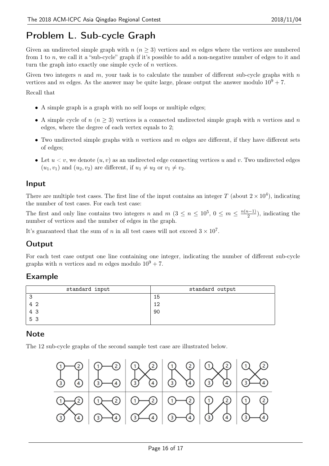# Problem L. Sub-cycle Graph

Given an undirected simple graph with  $n (n \geq 3)$  vertices and  $m$  edges where the vertices are numbered from 1 to *n*, we call it a "sub-cycle" graph if it's possible to add a non-negative number of edges to it and turn the graph into exactly one simple cycle of *n* vertices.

Given two integers *n* and *m*, your task is to calculate the number of different sub-cycle graphs with *n* vertices and *m* edges. As the answer may be quite large, please output the answer modulo  $10^9 + 7$ .

Recall that

- A simple graph is a graph with no self loops or multiple edges;
- A simple cycle of  $n (n \geq 3)$  vertices is a connected undirected simple graph with *n* vertices and *n* edges, where the degree of each vertex equals to 2;
- *•* Two undirected simple graphs with *n* vertices and *m* edges are different, if they have different sets of edges;
- Let  $u < v$ , we denote  $(u, v)$  as an undirected edge connecting vertices *u* and *v*. Two undirected edges  $(u_1, v_1)$  and  $(u_2, v_2)$  are different, if  $u_1 \neq u_2$  or  $v_1 \neq v_2$ .

### Input

There are multiple test cases. The first line of the input contains an integer  $T$  (about  $2 \times 10^4$ ), indicating the number of test cases. For each test case:

The first and only line contains two integers *n* and  $m$  ( $3 \le n \le 10^5$ ,  $0 \le m \le \frac{n(n-1)}{2}$ ), indicating the number of vertices and the number of edges in the graph.

It's guaranteed that the sum of *n* in all test cases will not exceed  $3 \times 10^7$ .

# **Output**

For each test case output one line containing one integer, indicating the number of different sub-cycle graphs with *n* vertices and *m* edges modulo  $10^9 + 7$ .

# Example

| standard input | standard output |
|----------------|-----------------|
|                | 15              |
| 42             | 1 2             |
| 4 3            | 90              |
| 5 3            |                 |

# **Note**

The 12 sub-cycle graphs of the second sample test case are illustrated below.